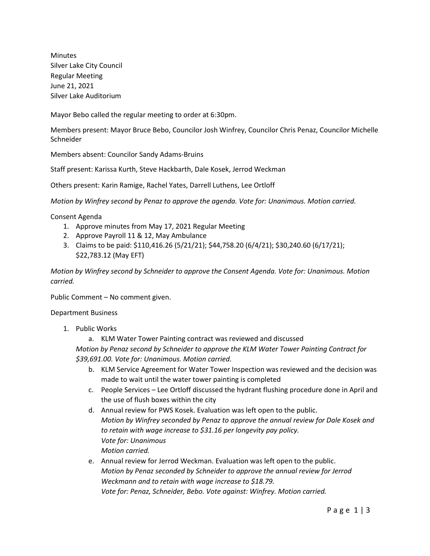Minutes Silver Lake City Council Regular Meeting June 21, 2021 Silver Lake Auditorium

Mayor Bebo called the regular meeting to order at 6:30pm.

Members present: Mayor Bruce Bebo, Councilor Josh Winfrey, Councilor Chris Penaz, Councilor Michelle **Schneider** 

Members absent: Councilor Sandy Adams-Bruins

Staff present: Karissa Kurth, Steve Hackbarth, Dale Kosek, Jerrod Weckman

Others present: Karin Ramige, Rachel Yates, Darrell Luthens, Lee Ortloff

*Motion by Winfrey second by Penaz to approve the agenda. Vote for: Unanimous. Motion carried.*

Consent Agenda

- 1. Approve minutes from May 17, 2021 Regular Meeting
- 2. Approve Payroll 11 & 12, May Ambulance
- 3. Claims to be paid: \$110,416.26 (5/21/21); \$44,758.20 (6/4/21); \$30,240.60 (6/17/21); \$22,783.12 (May EFT)

*Motion by Winfrey second by Schneider to approve the Consent Agenda. Vote for: Unanimous. Motion carried.*

Public Comment – No comment given.

Department Business

- 1. Public Works
	- a. KLM Water Tower Painting contract was reviewed and discussed

*Motion by Penaz second by Schneider to approve the KLM Water Tower Painting Contract for \$39,691.00. Vote for: Unanimous. Motion carried.*

- b. KLM Service Agreement for Water Tower Inspection was reviewed and the decision was made to wait until the water tower painting is completed
- c. People Services Lee Ortloff discussed the hydrant flushing procedure done in April and the use of flush boxes within the city
- d. Annual review for PWS Kosek. Evaluation was left open to the public. *Motion by Winfrey seconded by Penaz to approve the annual review for Dale Kosek and to retain with wage increase to \$31.16 per longevity pay policy. Vote for: Unanimous Motion carried.*
- e. Annual review for Jerrod Weckman. Evaluation was left open to the public. *Motion by Penaz seconded by Schneider to approve the annual review for Jerrod Weckmann and to retain with wage increase to \$18.79. Vote for: Penaz, Schneider, Bebo. Vote against: Winfrey. Motion carried.*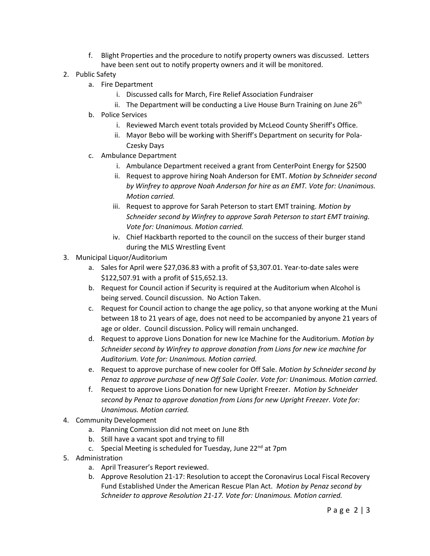- f. Blight Properties and the procedure to notify property owners was discussed. Letters have been sent out to notify property owners and it will be monitored.
- 2. Public Safety
	- a. Fire Department
		- i. Discussed calls for March, Fire Relief Association Fundraiser
		- ii. The Department will be conducting a Live House Burn Training on June  $26<sup>th</sup>$
	- b. Police Services
		- i. Reviewed March event totals provided by McLeod County Sheriff's Office.
		- ii. Mayor Bebo will be working with Sheriff's Department on security for Pola-Czesky Days
	- c. Ambulance Department
		- i. Ambulance Department received a grant from CenterPoint Energy for \$2500
		- ii. Request to approve hiring Noah Anderson for EMT. *Motion by Schneider second by Winfrey to approve Noah Anderson for hire as an EMT. Vote for: Unanimous. Motion carried.*
		- iii. Request to approve for Sarah Peterson to start EMT training. *Motion by Schneider second by Winfrey to approve Sarah Peterson to start EMT training. Vote for: Unanimous. Motion carried.*
		- iv. Chief Hackbarth reported to the council on the success of their burger stand during the MLS Wrestling Event
- 3. Municipal Liquor/Auditorium
	- a. Sales for April were \$27,036.83 with a profit of \$3,307.01. Year-to-date sales were \$122,507.91 with a profit of \$15,652.13.
	- b. Request for Council action if Security is required at the Auditorium when Alcohol is being served. Council discussion. No Action Taken.
	- c. Request for Council action to change the age policy, so that anyone working at the Muni between 18 to 21 years of age, does not need to be accompanied by anyone 21 years of age or older. Council discussion. Policy will remain unchanged.
	- d. Request to approve Lions Donation for new Ice Machine for the Auditorium. *Motion by Schneider second by Winfrey to approve donation from Lions for new ice machine for Auditorium. Vote for: Unanimous. Motion carried.*
	- e. Request to approve purchase of new cooler for Off Sale. *Motion by Schneider second by Penaz to approve purchase of new Off Sale Cooler. Vote for: Unanimous. Motion carried.*
	- f. Request to approve Lions Donation for new Upright Freezer. *Motion by Schneider second by Penaz to approve donation from Lions for new Upright Freezer. Vote for: Unanimous. Motion carried.*
- 4. Community Development
	- a. Planning Commission did not meet on June 8th
	- b. Still have a vacant spot and trying to fill
	- c. Special Meeting is scheduled for Tuesday, June  $22<sup>nd</sup>$  at 7pm
- 5. Administration
	- a. April Treasurer's Report reviewed.
	- b. Approve Resolution 21-17: Resolution to accept the Coronavirus Local Fiscal Recovery Fund Established Under the American Rescue Plan Act. *Motion by Penaz second by Schneider to approve Resolution 21-17. Vote for: Unanimous. Motion carried.*